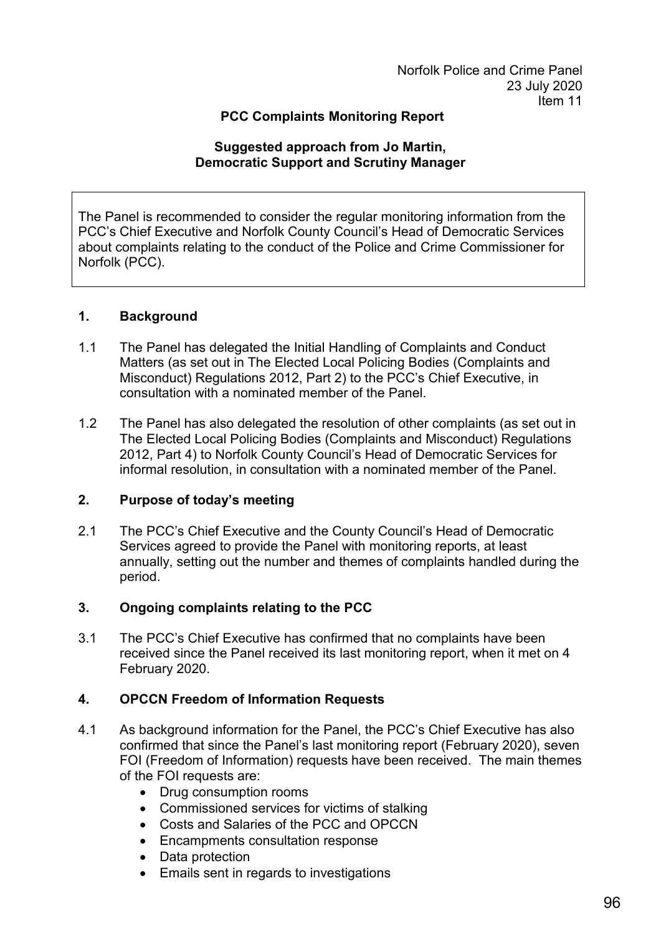## **PCC Complaints Monitoring Report**

#### **Suggested approach from Jo Martin, Democratic Support and Scrutiny Manager**

The Panel is recommended to consider the regular monitoring information from the PCC's Chief Executive and Norfolk County Council's Head of Democratic Services about complaints relating to the conduct of the Police and Crime Commissioner for Norfolk (PCC).

### **1. Background**

- 1.1 The Panel has delegated the Initial Handling of Complaints and Conduct Matters (as set out in The Elected Local Policing Bodies (Complaints and Misconduct) Regulations 2012, Part 2) to the PCC's Chief Executive, in consultation with a nominated member of the Panel.
- 1.2 The Panel has also delegated the resolution of other complaints (as set out in The Elected Local Policing Bodies (Complaints and Misconduct) Regulations 2012, Part 4) to Norfolk County Council's Head of Democratic Services for informal resolution, in consultation with a nominated member of the Panel.

### **2. Purpose of today's meeting**

2.1 The PCC's Chief Executive and the County Council's Head of Democratic Services agreed to provide the Panel with monitoring reports, at least annually, setting out the number and themes of complaints handled during the period.

# **3. Ongoing complaints relating to the PCC**

3.1 The PCC's Chief Executive has confirmed that no complaints have been received since the Panel received its last monitoring report, when it met on 4 February 2020.

# **4. OPCCN Freedom of Information Requests**

- 4.1 As background information for the Panel, the PCC's Chief Executive has also confirmed that since the Panel's last monitoring report (February 2020), seven FOI (Freedom of Information) requests have been received. The main themes of the FOI requests are:
	- Drug consumption rooms
	- Commissioned services for victims of stalking
	- Costs and Salaries of the PCC and OPCCN
	- Encampments consultation response
	- Data protection
	- Emails sent in regards to investigations